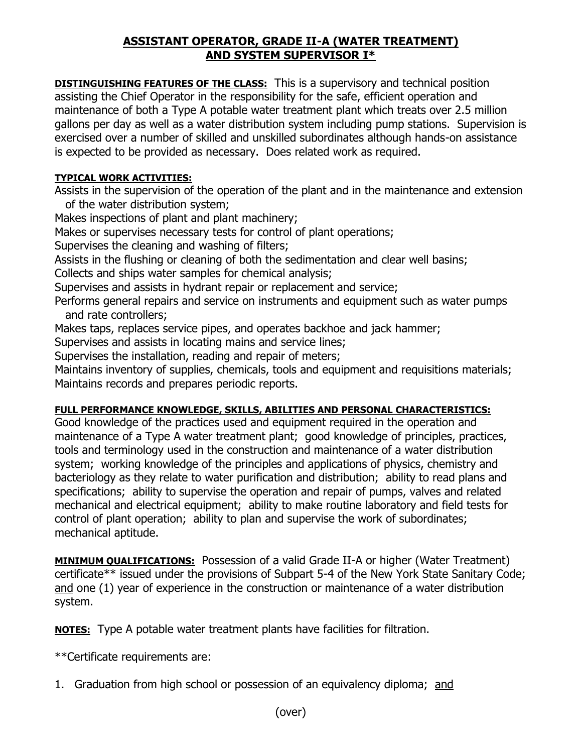## **ASSISTANT OPERATOR, GRADE II-A (WATER TREATMENT) AND SYSTEM SUPERVISOR I\***

**DISTINGUISHING FEATURES OF THE CLASS:** This is a supervisory and technical position assisting the Chief Operator in the responsibility for the safe, efficient operation and maintenance of both a Type A potable water treatment plant which treats over 2.5 million gallons per day as well as a water distribution system including pump stations. Supervision is exercised over a number of skilled and unskilled subordinates although hands-on assistance is expected to be provided as necessary. Does related work as required.

## **TYPICAL WORK ACTIVITIES:**

Assists in the supervision of the operation of the plant and in the maintenance and extension of the water distribution system;

Makes inspections of plant and plant machinery;

Makes or supervises necessary tests for control of plant operations;

Supervises the cleaning and washing of filters;

Assists in the flushing or cleaning of both the sedimentation and clear well basins;

Collects and ships water samples for chemical analysis;

Supervises and assists in hydrant repair or replacement and service;

Performs general repairs and service on instruments and equipment such as water pumps and rate controllers;

Makes taps, replaces service pipes, and operates backhoe and jack hammer;

Supervises and assists in locating mains and service lines;

Supervises the installation, reading and repair of meters;

Maintains inventory of supplies, chemicals, tools and equipment and requisitions materials; Maintains records and prepares periodic reports.

## **FULL PERFORMANCE KNOWLEDGE, SKILLS, ABILITIES AND PERSONAL CHARACTERISTICS:**

Good knowledge of the practices used and equipment required in the operation and maintenance of a Type A water treatment plant; good knowledge of principles, practices, tools and terminology used in the construction and maintenance of a water distribution system; working knowledge of the principles and applications of physics, chemistry and bacteriology as they relate to water purification and distribution; ability to read plans and specifications; ability to supervise the operation and repair of pumps, valves and related mechanical and electrical equipment; ability to make routine laboratory and field tests for control of plant operation; ability to plan and supervise the work of subordinates; mechanical aptitude.

**MINIMUM QUALIFICATIONS:** Possession of a valid Grade II-A or higher (Water Treatment) certificate\*\* issued under the provisions of Subpart 5-4 of the New York State Sanitary Code; and one (1) year of experience in the construction or maintenance of a water distribution system.

**NOTES:** Type A potable water treatment plants have facilities for filtration.

\*\*Certificate requirements are:

1. Graduation from high school or possession of an equivalency diploma; and